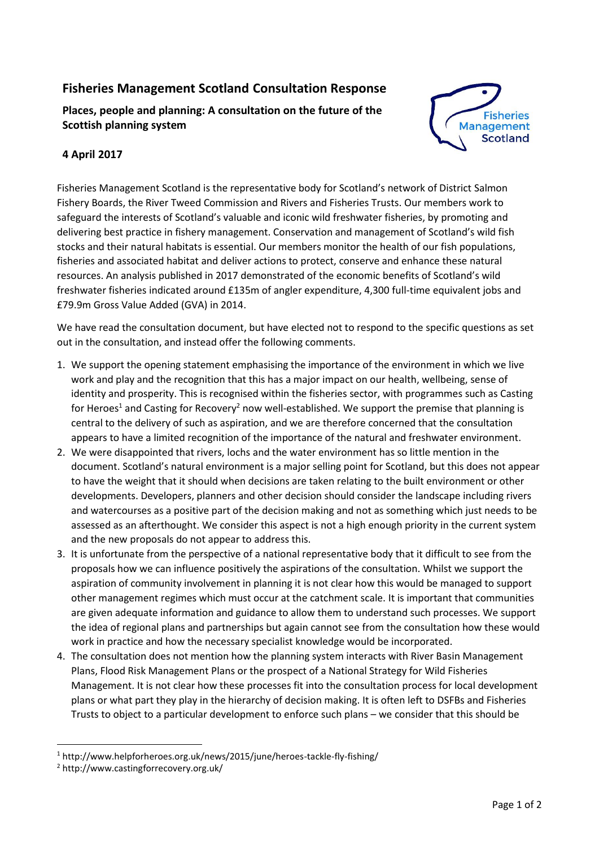## **Fisheries Management Scotland Consultation Response**

**Places, people and planning: A consultation on the future of the Scottish planning system**



## **4 April 2017**

Fisheries Management Scotland is the representative body for Scotland's network of District Salmon Fishery Boards, the River Tweed Commission and Rivers and Fisheries Trusts. Our members work to safeguard the interests of Scotland's valuable and iconic wild freshwater fisheries, by promoting and delivering best practice in fishery management. Conservation and management of Scotland's wild fish stocks and their natural habitats is essential. Our members monitor the health of our fish populations, fisheries and associated habitat and deliver actions to protect, conserve and enhance these natural resources. An analysis published in 2017 demonstrated of the economic benefits of Scotland's wild freshwater fisheries indicated around £135m of angler expenditure, 4,300 full-time equivalent jobs and £79.9m Gross Value Added (GVA) in 2014.

We have read the consultation document, but have elected not to respond to the specific questions as set out in the consultation, and instead offer the following comments.

- 1. We support the opening statement emphasising the importance of the environment in which we live work and play and the recognition that this has a major impact on our health, wellbeing, sense of identity and prosperity. This is recognised within the fisheries sector, with programmes such as Casting for Heroes<sup>1</sup> and Casting for Recovery<sup>2</sup> now well-established. We support the premise that planning is central to the delivery of such as aspiration, and we are therefore concerned that the consultation appears to have a limited recognition of the importance of the natural and freshwater environment.
- 2. We were disappointed that rivers, lochs and the water environment has so little mention in the document. Scotland's natural environment is a major selling point for Scotland, but this does not appear to have the weight that it should when decisions are taken relating to the built environment or other developments. Developers, planners and other decision should consider the landscape including rivers and watercourses as a positive part of the decision making and not as something which just needs to be assessed as an afterthought. We consider this aspect is not a high enough priority in the current system and the new proposals do not appear to address this.
- 3. It is unfortunate from the perspective of a national representative body that it difficult to see from the proposals how we can influence positively the aspirations of the consultation. Whilst we support the aspiration of community involvement in planning it is not clear how this would be managed to support other management regimes which must occur at the catchment scale. It is important that communities are given adequate information and guidance to allow them to understand such processes. We support the idea of regional plans and partnerships but again cannot see from the consultation how these would work in practice and how the necessary specialist knowledge would be incorporated.
- 4. The consultation does not mention how the planning system interacts with River Basin Management Plans, Flood Risk Management Plans or the prospect of a National Strategy for Wild Fisheries Management. It is not clear how these processes fit into the consultation process for local development plans or what part they play in the hierarchy of decision making. It is often left to DSFBs and Fisheries Trusts to object to a particular development to enforce such plans – we consider that this should be

**.** 

<sup>1</sup> http://www.helpforheroes.org.uk/news/2015/june/heroes-tackle-fly-fishing/

<sup>2</sup> http://www.castingforrecovery.org.uk/